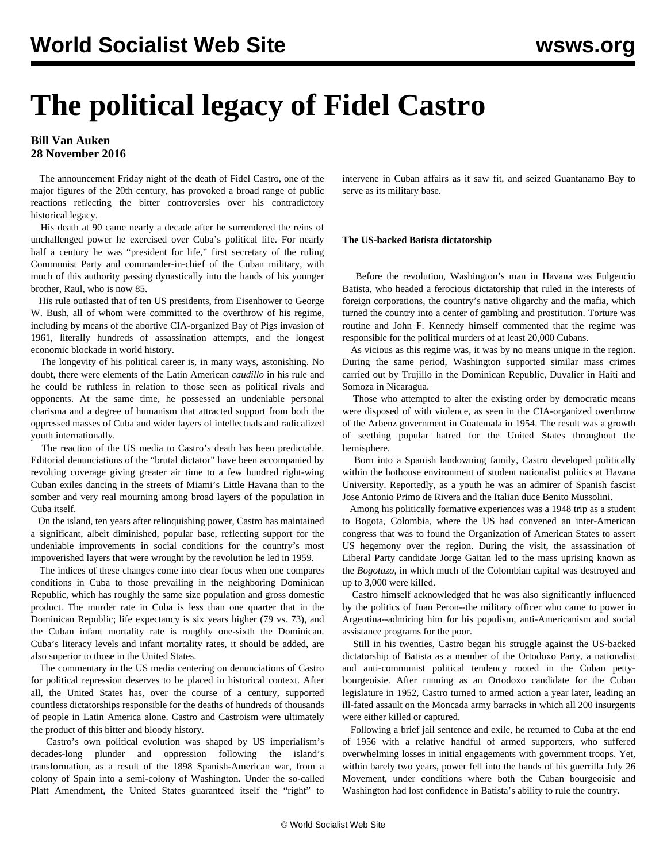# **The political legacy of Fidel Castro**

### **Bill Van Auken 28 November 2016**

 The announcement Friday night of the death of Fidel Castro, one of the major figures of the 20th century, has provoked a broad range of public reactions reflecting the bitter controversies over his contradictory historical legacy.

 His death at 90 came nearly a decade after he surrendered the reins of unchallenged power he exercised over Cuba's political life. For nearly half a century he was "president for life," first secretary of the ruling Communist Party and commander-in-chief of the Cuban military, with much of this authority passing dynastically into the hands of his younger brother, Raul, who is now 85.

 His rule outlasted that of ten US presidents, from Eisenhower to George W. Bush, all of whom were committed to the overthrow of his regime, including by means of the abortive CIA-organized Bay of Pigs invasion of 1961, literally hundreds of assassination attempts, and the longest economic blockade in world history.

 The longevity of his political career is, in many ways, astonishing. No doubt, there were elements of the Latin American *caudillo* in his rule and he could be ruthless in relation to those seen as political rivals and opponents. At the same time, he possessed an undeniable personal charisma and a degree of humanism that attracted support from both the oppressed masses of Cuba and wider layers of intellectuals and radicalized youth internationally.

 The reaction of the US media to Castro's death has been predictable. Editorial denunciations of the "brutal dictator" have been accompanied by revolting coverage giving greater air time to a few hundred right-wing Cuban exiles dancing in the streets of Miami's Little Havana than to the somber and very real mourning among broad layers of the population in Cuba itself.

 On the island, ten years after relinquishing power, Castro has maintained a significant, albeit diminished, popular base, reflecting support for the undeniable improvements in social conditions for the country's most impoverished layers that were wrought by the revolution he led in 1959.

 The indices of these changes come into clear focus when one compares conditions in Cuba to those prevailing in the neighboring Dominican Republic, which has roughly the same size population and gross domestic product. The murder rate in Cuba is less than one quarter that in the Dominican Republic; life expectancy is six years higher (79 vs. 73), and the Cuban infant mortality rate is roughly one-sixth the Dominican. Cuba's literacy levels and infant mortality rates, it should be added, are also superior to those in the United States.

 The commentary in the US media centering on denunciations of Castro for political repression deserves to be placed in historical context. After all, the United States has, over the course of a century, supported countless dictatorships responsible for the deaths of hundreds of thousands of people in Latin America alone. Castro and Castroism were ultimately the product of this bitter and bloody history.

 Castro's own political evolution was shaped by US imperialism's decades-long plunder and oppression following the island's transformation, as a result of the 1898 Spanish-American war, from a colony of Spain into a semi-colony of Washington. Under the so-called Platt Amendment, the United States guaranteed itself the "right" to

intervene in Cuban affairs as it saw fit, and seized Guantanamo Bay to serve as its military base.

#### **The US-backed Batista dictatorship**

 Before the revolution, Washington's man in Havana was Fulgencio Batista, who headed a ferocious dictatorship that ruled in the interests of foreign corporations, the country's native oligarchy and the mafia, which turned the country into a center of gambling and prostitution. Torture was routine and John F. Kennedy himself commented that the regime was responsible for the political murders of at least 20,000 Cubans.

 As vicious as this regime was, it was by no means unique in the region. During the same period, Washington supported similar mass crimes carried out by Trujillo in the Dominican Republic, Duvalier in Haiti and Somoza in Nicaragua.

 Those who attempted to alter the existing order by democratic means were disposed of with violence, as seen in the CIA-organized overthrow of the Arbenz government in Guatemala in 1954. The result was a growth of seething popular hatred for the United States throughout the hemisphere.

 Born into a Spanish landowning family, Castro developed politically within the hothouse environment of student nationalist politics at Havana University. Reportedly, as a youth he was an admirer of Spanish fascist Jose Antonio Primo de Rivera and the Italian duce Benito Mussolini.

 Among his politically formative experiences was a 1948 trip as a student to Bogota, Colombia, where the US had convened an inter-American congress that was to found the Organization of American States to assert US hegemony over the region. During the visit, the assassination of Liberal Party candidate Jorge Gaitan led to the mass uprising known as the *Bogotazo*, in which much of the Colombian capital was destroyed and up to 3,000 were killed.

 Castro himself acknowledged that he was also significantly influenced by the politics of Juan Peron--the military officer who came to power in Argentina--admiring him for his populism, anti-Americanism and social assistance programs for the poor.

 Still in his twenties, Castro began his struggle against the US-backed dictatorship of Batista as a member of the Ortodoxo Party, a nationalist and anti-communist political tendency rooted in the Cuban pettybourgeoisie. After running as an Ortodoxo candidate for the Cuban legislature in 1952, Castro turned to armed action a year later, leading an ill-fated assault on the Moncada army barracks in which all 200 insurgents were either killed or captured.

 Following a brief jail sentence and exile, he returned to Cuba at the end of 1956 with a relative handful of armed supporters, who suffered overwhelming losses in initial engagements with government troops. Yet, within barely two years, power fell into the hands of his guerrilla July 26 Movement, under conditions where both the Cuban bourgeoisie and Washington had lost confidence in Batista's ability to rule the country.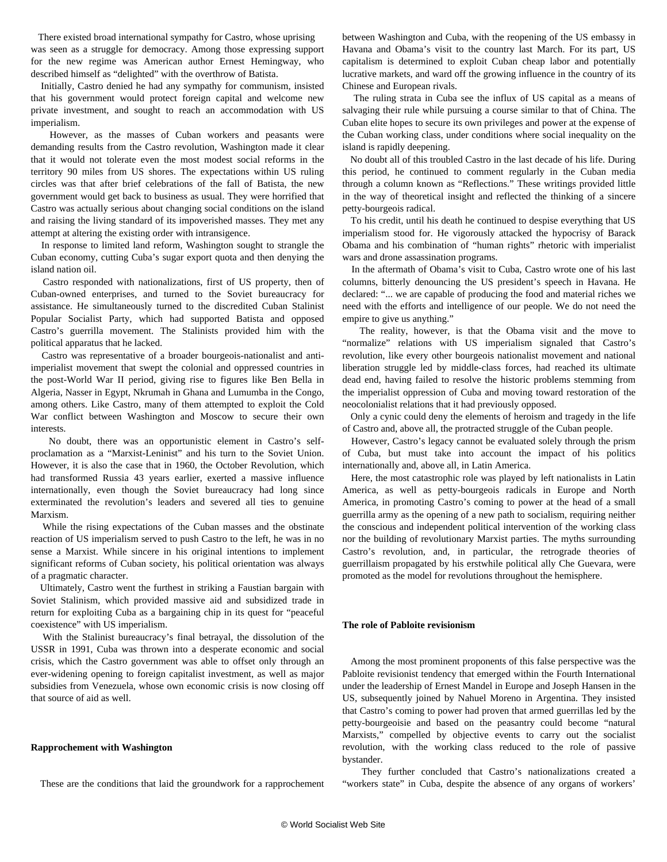There existed broad international sympathy for Castro, whose uprising was seen as a struggle for democracy. Among those expressing support for the new regime was American author Ernest Hemingway, who described himself as "delighted" with the overthrow of Batista.

 Initially, Castro denied he had any sympathy for communism, insisted that his government would protect foreign capital and welcome new private investment, and sought to reach an accommodation with US imperialism.

 However, as the masses of Cuban workers and peasants were demanding results from the Castro revolution, Washington made it clear that it would not tolerate even the most modest social reforms in the territory 90 miles from US shores. The expectations within US ruling circles was that after brief celebrations of the fall of Batista, the new government would get back to business as usual. They were horrified that Castro was actually serious about changing social conditions on the island and raising the living standard of its impoverished masses. They met any attempt at altering the existing order with intransigence.

 In response to limited land reform, Washington sought to strangle the Cuban economy, cutting Cuba's sugar export quota and then denying the island nation oil.

 Castro responded with nationalizations, first of US property, then of Cuban-owned enterprises, and turned to the Soviet bureaucracy for assistance. He simultaneously turned to the discredited Cuban Stalinist Popular Socialist Party, which had supported Batista and opposed Castro's guerrilla movement. The Stalinists provided him with the political apparatus that he lacked.

 Castro was representative of a broader bourgeois-nationalist and antiimperialist movement that swept the colonial and oppressed countries in the post-World War II period, giving rise to figures like Ben Bella in Algeria, Nasser in Egypt, Nkrumah in Ghana and Lumumba in the Congo, among others. Like Castro, many of them attempted to exploit the Cold War conflict between Washington and Moscow to secure their own interests.

 No doubt, there was an opportunistic element in Castro's selfproclamation as a "Marxist-Leninist" and his turn to the Soviet Union. However, it is also the case that in 1960, the October Revolution, which had transformed Russia 43 years earlier, exerted a massive influence internationally, even though the Soviet bureaucracy had long since exterminated the revolution's leaders and severed all ties to genuine Marxism.

 While the rising expectations of the Cuban masses and the obstinate reaction of US imperialism served to push Castro to the left, he was in no sense a Marxist. While sincere in his original intentions to implement significant reforms of Cuban society, his political orientation was always of a pragmatic character.

 Ultimately, Castro went the furthest in striking a Faustian bargain with Soviet Stalinism, which provided massive aid and subsidized trade in return for exploiting Cuba as a bargaining chip in its quest for "peaceful coexistence" with US imperialism.

 With the Stalinist bureaucracy's final betrayal, the dissolution of the USSR in 1991, Cuba was thrown into a desperate economic and social crisis, which the Castro government was able to offset only through an ever-widening opening to foreign capitalist investment, as well as major subsidies from Venezuela, whose own economic crisis is now closing off that source of aid as well.

#### **Rapprochement with Washington**

These are the conditions that laid the groundwork for a rapprochement

between Washington and Cuba, with the reopening of the US embassy in Havana and Obama's visit to the country last March. For its part, US capitalism is determined to exploit Cuban cheap labor and potentially lucrative markets, and ward off the growing influence in the country of its Chinese and European rivals.

 The ruling strata in Cuba see the influx of US capital as a means of salvaging their rule while pursuing a course similar to that of China. The Cuban elite hopes to secure its own privileges and power at the expense of the Cuban working class, under conditions where social inequality on the island is rapidly deepening.

 No doubt all of this troubled Castro in the last decade of his life. During this period, he continued to comment regularly in the Cuban media through a column known as "Reflections." These writings provided little in the way of theoretical insight and reflected the thinking of a sincere petty-bourgeois radical.

 To his credit, until his death he continued to despise everything that US imperialism stood for. He vigorously attacked the hypocrisy of Barack Obama and his combination of "human rights" rhetoric with imperialist wars and drone assassination programs.

 In the aftermath of Obama's visit to Cuba, Castro wrote one of his last columns, bitterly denouncing the US president's speech in Havana. He declared: "... we are capable of producing the food and material riches we need with the efforts and intelligence of our people. We do not need the empire to give us anything."

 The reality, however, is that the Obama visit and the move to "normalize" relations with US imperialism signaled that Castro's revolution, like every other bourgeois nationalist movement and national liberation struggle led by middle-class forces, had reached its ultimate dead end, having failed to resolve the historic problems stemming from the imperialist oppression of Cuba and moving toward restoration of the neocolonialist relations that it had previously opposed.

 Only a cynic could deny the elements of heroism and tragedy in the life of Castro and, above all, the protracted struggle of the Cuban people.

 However, Castro's legacy cannot be evaluated solely through the prism of Cuba, but must take into account the impact of his politics internationally and, above all, in Latin America.

 Here, the most catastrophic role was played by left nationalists in Latin America, as well as petty-bourgeois radicals in Europe and North America, in promoting Castro's coming to power at the head of a small guerrilla army as the opening of a new path to socialism, requiring neither the conscious and independent political intervention of the working class nor the building of revolutionary Marxist parties. The myths surrounding Castro's revolution, and, in particular, the retrograde theories of guerrillaism propagated by his erstwhile political ally Che Guevara, were promoted as the model for revolutions throughout the hemisphere.

#### **The role of Pabloite revisionism**

 Among the most prominent proponents of this false perspective was the Pabloite revisionist tendency that emerged within the Fourth International under the leadership of Ernest Mandel in Europe and Joseph Hansen in the US, subsequently joined by Nahuel Moreno in Argentina. They insisted that Castro's coming to power had proven that armed guerrillas led by the petty-bourgeoisie and based on the peasantry could become "natural Marxists," compelled by objective events to carry out the socialist revolution, with the working class reduced to the role of passive bystander.

 They further concluded that Castro's nationalizations created a "workers state" in Cuba, despite the absence of any organs of workers'